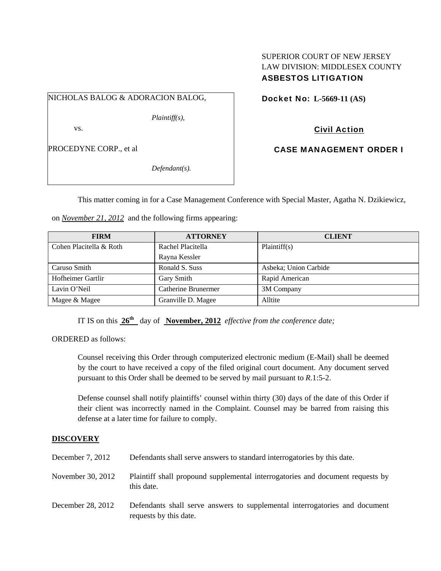# SUPERIOR COURT OF NEW JERSEY LAW DIVISION: MIDDLESEX COUNTY ASBESTOS LITIGATION

NICHOLAS BALOG & ADORACION BALOG,

*Plaintiff(s),* 

vs.

PROCEDYNE CORP., et al

*Defendant(s).* 

Docket No: **L-5669-11 (AS)** 

Civil Action

CASE MANAGEMENT ORDER I

This matter coming in for a Case Management Conference with Special Master, Agatha N. Dzikiewicz,

on *November 21, 2012* and the following firms appearing:

| <b>FIRM</b>             | <b>ATTORNEY</b>     | <b>CLIENT</b>         |
|-------------------------|---------------------|-----------------------|
| Cohen Placitella & Roth | Rachel Placitella   | Plaintiff(s)          |
|                         | Rayna Kessler       |                       |
| Caruso Smith            | Ronald S. Suss      | Asbeka; Union Carbide |
| Hofheimer Gartlir       | Gary Smith          | Rapid American        |
| Lavin O'Neil            | Catherine Brunermer | 3M Company            |
| Magee & Magee           | Granville D. Magee  | Alltite               |

IT IS on this  $26^{\text{th}}$  day of November, 2012 *effective from the conference date;* 

ORDERED as follows:

Counsel receiving this Order through computerized electronic medium (E-Mail) shall be deemed by the court to have received a copy of the filed original court document. Any document served pursuant to this Order shall be deemed to be served by mail pursuant to *R*.1:5-2.

Defense counsel shall notify plaintiffs' counsel within thirty (30) days of the date of this Order if their client was incorrectly named in the Complaint. Counsel may be barred from raising this defense at a later time for failure to comply.

# **DISCOVERY**

| December 7, 2012  | Defendants shall serve answers to standard interrogatories by this date.                              |
|-------------------|-------------------------------------------------------------------------------------------------------|
| November 30, 2012 | Plaintiff shall propound supplemental interrogatories and document requests by<br>this date.          |
| December 28, 2012 | Defendants shall serve answers to supplemental interrogatories and document<br>requests by this date. |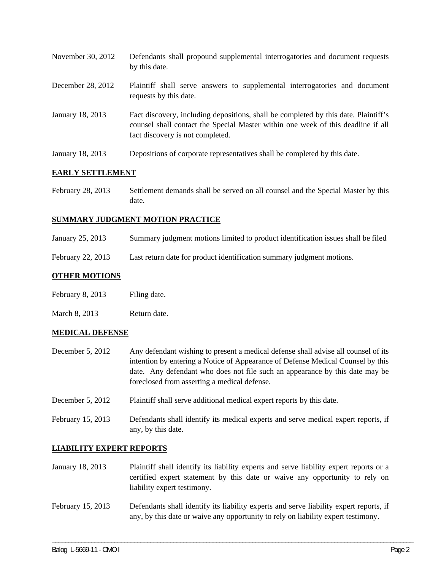| November 30, 2012 | Defendants shall propound supplemental interrogatories and document requests<br>by this date.                                                                                                               |
|-------------------|-------------------------------------------------------------------------------------------------------------------------------------------------------------------------------------------------------------|
| December 28, 2012 | Plaintiff shall serve answers to supplemental interrogatories and document<br>requests by this date.                                                                                                        |
| January 18, 2013  | Fact discovery, including depositions, shall be completed by this date. Plaintiff's<br>counsel shall contact the Special Master within one week of this deadline if all<br>fact discovery is not completed. |
| January 18, 2013  | Depositions of corporate representatives shall be completed by this date.                                                                                                                                   |

# **EARLY SETTLEMENT**

February 28, 2013 Settlement demands shall be served on all counsel and the Special Master by this date.

# **SUMMARY JUDGMENT MOTION PRACTICE**

- January 25, 2013 Summary judgment motions limited to product identification issues shall be filed
- February 22, 2013 Last return date for product identification summary judgment motions.

# **OTHER MOTIONS**

- February 8, 2013 Filing date.
- March 8, 2013 Return date.

### **MEDICAL DEFENSE**

- December 5, 2012 Any defendant wishing to present a medical defense shall advise all counsel of its intention by entering a Notice of Appearance of Defense Medical Counsel by this date. Any defendant who does not file such an appearance by this date may be foreclosed from asserting a medical defense.
- December 5, 2012 Plaintiff shall serve additional medical expert reports by this date.
- February 15, 2013 Defendants shall identify its medical experts and serve medical expert reports, if any, by this date.

# **LIABILITY EXPERT REPORTS**

- January 18, 2013 Plaintiff shall identify its liability experts and serve liability expert reports or a certified expert statement by this date or waive any opportunity to rely on liability expert testimony.
- February 15, 2013 Defendants shall identify its liability experts and serve liability expert reports, if any, by this date or waive any opportunity to rely on liability expert testimony.

\_\_\_\_\_\_\_\_\_\_\_\_\_\_\_\_\_\_\_\_\_\_\_\_\_\_\_\_\_\_\_\_\_\_\_\_\_\_\_\_\_\_\_\_\_\_\_\_\_\_\_\_\_\_\_\_\_\_\_\_\_\_\_\_\_\_\_\_\_\_\_\_\_\_\_\_\_\_\_\_\_\_\_\_\_\_\_\_\_\_\_\_\_\_\_\_\_\_\_\_\_\_\_\_\_\_\_\_\_\_